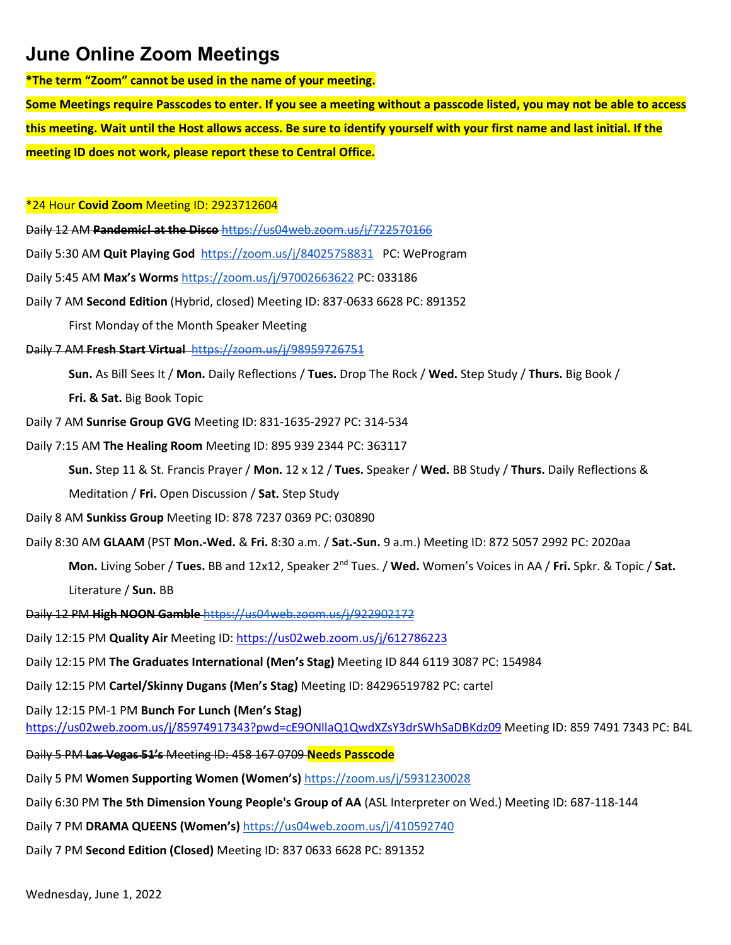**\*The term "Zoom" cannot be used in the name of your meeting.**

**Some Meetings require Passcodes to enter. If you see a meeting without a passcode listed, you may not be able to access this meeting. Wait until the Host allows access. Be sure to identify yourself with your first name and last initial. If the meeting ID does not work, please report these to Central Office.**

\*24 Hour **Covid Zoom** Meeting ID: 2923712604

Daily 12 AM **Pandemic! at the Disco** <https://us04web.zoom.us/j/722570166>

Daily 5:30 AM **Quit Playing God** [https://zoom.us/j/8](https://zoom.us/j/251719918)4025758831 PC: WeProgram

Daily 5:45 AM **Max's Worms** <https://zoom.us/j/97002663622> PC: 033186

Daily 7 AM **Second Edition** (Hybrid, closed) Meeting ID: 837-0633 6628 PC: 891352

First Monday of the Month Speaker Meeting

Daily 7 AM **Fresh Start Virtual** <https://zoom.us/j/98959726751>

**Sun.** As Bill Sees It / **Mon.** Daily Reflections / **Tues.** Drop The Rock / **Wed.** Step Study / **Thurs.** Big Book /

**Fri. & Sat.** Big Book Topic

- Daily 7 AM **Sunrise Group GVG** Meeting ID: 831-1635-2927 PC: 314-534
- Daily 7:15 AM **The Healing Room** Meeting ID: 895 939 2344 PC: 363117

**Sun.** Step 11 & St. Francis Prayer / **Mon.** 12 x 12 / **Tues.** Speaker / **Wed.** BB Study / **Thurs.** Daily Reflections &

Meditation / **Fri.** Open Discussion / **Sat.** Step Study

Daily 8 AM **Sunkiss Group** Meeting ID: 878 7237 0369 PC: 030890

Daily 8:30 AM **GLAAM** (PST **Mon.-Wed.** & **Fri.** 8:30 a.m. / **Sat.-Sun.** 9 a.m.) Meeting ID: 872 5057 2992 PC: 2020aa

**Mon.** Living Sober / **Tues.** BB and 12x12, Speaker 2nd Tues. / **Wed.** Women's Voices in AA / **Fri.** Spkr. & Topic / **Sat.** Literature / **Sun.** BB

Daily 12 PM **High NOON Gamble** <https://us04web.zoom.us/j/922902172>

Daily 12:15 PM **Quality Air** Meeting ID:<https://us02web.zoom.us/j/612786223>

Daily 12:15 PM **The Graduates International (Men's Stag)** Meeting ID 844 6119 3087 PC: 154984

Daily 12:15 PM **Cartel/Skinny Dugans (Men's Stag)** Meeting ID: 84296519782 PC: cartel

Daily 12:15 PM-1 PM **Bunch For Lunch (Men's Stag)**

<https://us02web.zoom.us/j/85974917343?pwd=cE9ONllaQ1QwdXZsY3drSWhSaDBKdz09> Meeting ID: 859 7491 7343 PC: B4L

Daily 5 PM **Las Vegas 51's** Meeting ID: 458 167 0709 **Needs Passcode**

Daily 5 PM **Women Supporting Women (Women's)** [https://zoom.us/j/5931230028](https://zoom.us/j/469489051)

Daily 6:30 PM **The 5th Dimension Young People's Group of AA** (ASL Interpreter on Wed.) Meeting ID: 687-118-144

Daily 7 PM **DRAMA QUEENS (Women's)** <https://us04web.zoom.us/j/410592740>

Daily 7 PM **Second Edition (Closed)** Meeting ID: 837 0633 6628 PC: 891352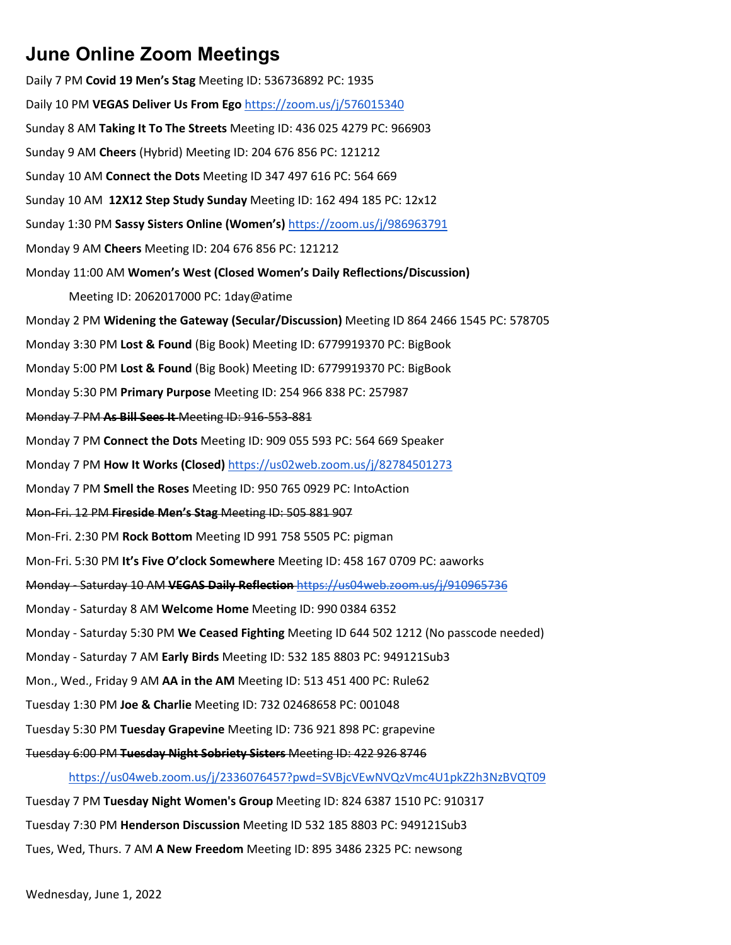Daily 7 PM **Covid 19 Men's Stag** Meeting ID: 536736892 PC: 1935 Daily 10 PM **VEGAS Deliver Us From Ego** <https://zoom.us/j/576015340> Sunday 8 AM **Taking It To The Streets** Meeting ID: 436 025 4279 PC: 966903 Sunday 9 AM **Cheers** (Hybrid) Meeting ID: 204 676 856 PC: 121212 Sunday 10 AM **Connect the Dots** Meeting ID 347 497 616 PC: 564 669 Sunday 10 AM **12X12 Step Study Sunday** Meeting ID: 162 494 185 PC: 12x12 Sunday 1:30 PM **Sassy Sisters Online (Women's)** <https://zoom.us/j/986963791> Monday 9 AM **Cheers** Meeting ID: 204 676 856 PC: 121212 Monday 11:00 AM **Women's West (Closed Women's Daily Reflections/Discussion)** Meeting ID: 2062017000 PC: 1day@atime Monday 2 PM **Widening the Gateway (Secular/Discussion)** Meeting ID 864 2466 1545 PC: 578705 Monday 3:30 PM **Lost & Found** (Big Book) Meeting ID: 6779919370 PC: BigBook Monday 5:00 PM **Lost & Found** (Big Book) Meeting ID: 6779919370 PC: BigBook Monday 5:30 PM **Primary Purpose** Meeting ID: 254 966 838 PC: 257987 Monday 7 PM **As Bill Sees It** Meeting ID: 916-553-881 Monday 7 PM **Connect the Dots** Meeting ID: 909 055 593 PC: 564 669 Speaker Monday 7 PM **How It Works (Closed)** <https://us02web.zoom.us/j/82784501273> Monday 7 PM **Smell the Roses** Meeting ID: 950 765 0929 PC: IntoAction Mon-Fri. 12 PM **Fireside Men's Stag** Meeting ID: 505 881 907 Mon-Fri. 2:30 PM **Rock Bottom** Meeting ID 991 758 5505 PC: pigman Mon-Fri. 5:30 PM **It's Five O'clock Somewhere** Meeting ID: 458 167 0709 PC: aaworks Monday - Saturday 10 AM **VEGAS Daily Reflection** <https://us04web.zoom.us/j/910965736> Monday - Saturday 8 AM **Welcome Home** Meeting ID: 990 0384 6352 Monday - Saturday 5:30 PM **We Ceased Fighting** Meeting ID 644 502 1212 (No passcode needed) Monday - Saturday 7 AM **Early Birds** Meeting ID: 532 185 8803 PC: 949121Sub3 Mon., Wed., Friday 9 AM **AA in the AM** Meeting ID: 513 451 400 PC: Rule62 Tuesday 1:30 PM **Joe & Charlie** Meeting ID: 732 02468658 PC: 001048 Tuesday 5:30 PM **Tuesday Grapevine** Meeting ID: 736 921 898 PC: grapevine Tuesday 6:00 PM **Tuesday Night Sobriety Sisters** Meeting ID: 422 926 8746 <https://us04web.zoom.us/j/2336076457?pwd=SVBjcVEwNVQzVmc4U1pkZ2h3NzBVQT09>

Tuesday 7 PM **Tuesday Night Women's Group** Meeting ID: 824 6387 1510 PC: 910317 Tuesday 7:30 PM **Henderson Discussion** Meeting ID 532 185 8803 PC: 949121Sub3 Tues, Wed, Thurs. 7 AM **A New Freedom** Meeting ID: 895 3486 2325 PC: newsong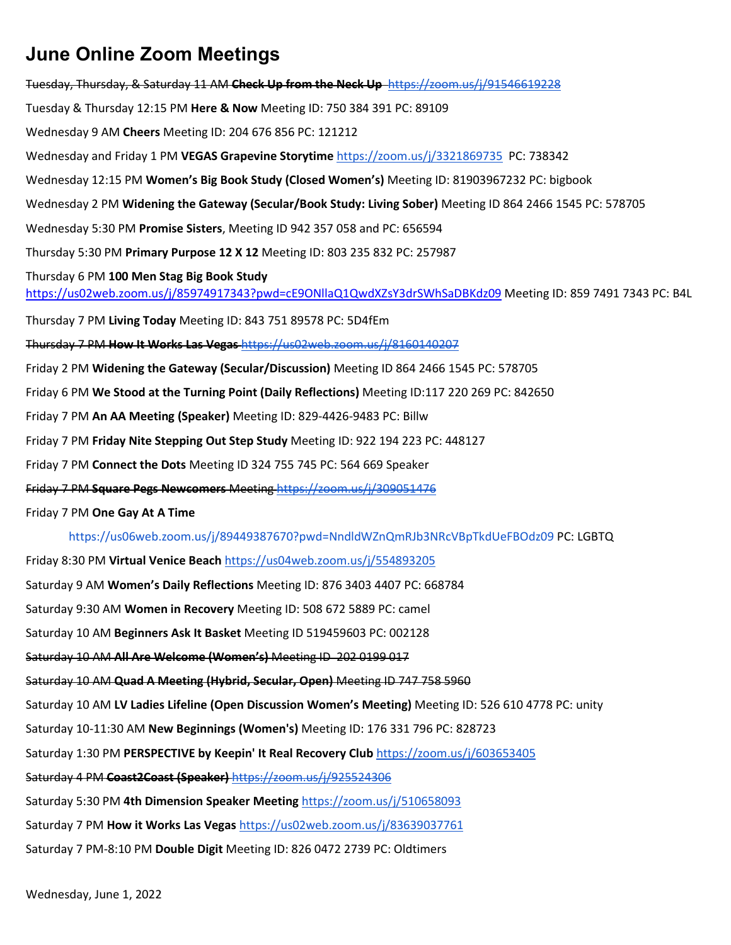Tuesday, Thursday, & Saturday 11 AM **Check Up from the Neck Up** <https://zoom.us/j/91546619228> Tuesday & Thursday 12:15 PM **Here & Now** Meeting ID: 750 384 391 PC: 89109 Wednesday 9 AM **Cheers** Meeting ID: 204 676 856 PC: 121212 Wednesday and Friday 1 PM **VEGAS Grapevine Storytime** <https://zoom.us/j/3321869735> PC: 738342 Wednesday 12:15 PM **Women's Big Book Study (Closed Women's)** Meeting ID: 81903967232 PC: bigbook Wednesday 2 PM **Widening the Gateway (Secular/Book Study: Living Sober)** Meeting ID 864 2466 1545 PC: 578705 Wednesday 5:30 PM **Promise Sisters**, Meeting ID 942 357 058 and PC: 656594 Thursday 5:30 PM **Primary Purpose 12 X 12** Meeting ID: 803 235 832 PC: 257987 Thursday 6 PM **100 Men Stag Big Book Study** <https://us02web.zoom.us/j/85974917343?pwd=cE9ONllaQ1QwdXZsY3drSWhSaDBKdz09> Meeting ID: 859 7491 7343 PC: B4L Thursday 7 PM **Living Today** Meeting ID: 843 751 89578 PC: 5D4fEm Thursday 7 PM **How It Works Las Vegas** [https://us02web.zoom.us/j/8160140207](https://us02web.zoom.us/j/81601402071) Friday 2 PM **Widening the Gateway (Secular/Discussion)** Meeting ID 864 2466 1545 PC: 578705 Friday 6 PM **We Stood at the Turning Point (Daily Reflections)** Meeting ID:117 220 269 PC: 842650 Friday 7 PM **An AA Meeting (Speaker)** Meeting ID: 829-4426-9483 PC: Billw Friday 7 PM **Friday Nite Stepping Out Step Study** Meeting ID: 922 194 223 PC: 448127 Friday 7 PM **Connect the Dots** Meeting ID 324 755 745 PC: 564 669 Speaker Friday 7 PM **Square Pegs Newcomers** Meeting<https://zoom.us/j/309051476> Friday 7 PM **One Gay At A Time** <https://us06web.zoom.us/j/89449387670?pwd=NndldWZnQmRJb3NRcVBpTkdUeFBOdz09> PC: LGBTQ Friday 8:30 PM **Virtual Venice Beach** <https://us04web.zoom.us/j/554893205> Saturday 9 AM **Women's Daily Reflections** Meeting ID: 876 3403 4407 PC: 668784 Saturday 9:30 AM **Women in Recovery** Meeting ID: 508 672 5889 PC: camel Saturday 10 AM **Beginners Ask It Basket** Meeting ID 519459603 PC: 002128 Saturday 10 AM **All Are Welcome (Women's)** Meeting ID 202 0199 017 Saturday 10 AM **Quad A Meeting (Hybrid, Secular, Open)** Meeting ID 747 758 5960 Saturday 10 AM **LV Ladies Lifeline (Open Discussion Women's Meeting)** Meeting ID: 526 610 4778 PC: unity Saturday 10-11:30 AM **New Beginnings (Women's)** Meeting ID: 176 331 796 PC: 828723 Saturday 1:30 PM **PERSPECTIVE by Keepin' It Real Recovery Club** <https://zoom.us/j/603653405>

Saturday 4 PM **Coast2Coast (Speaker)** <https://zoom.us/j/925524306>

Saturday 5:30 PM **4th Dimension Speaker Meeting** <https://zoom.us/j/510658093>

Saturday 7 PM **How it Works Las Vegas** <https://us02web.zoom.us/j/83639037761>

Saturday 7 PM-8:10 PM **Double Digit** Meeting ID: 826 0472 2739 PC: Oldtimers